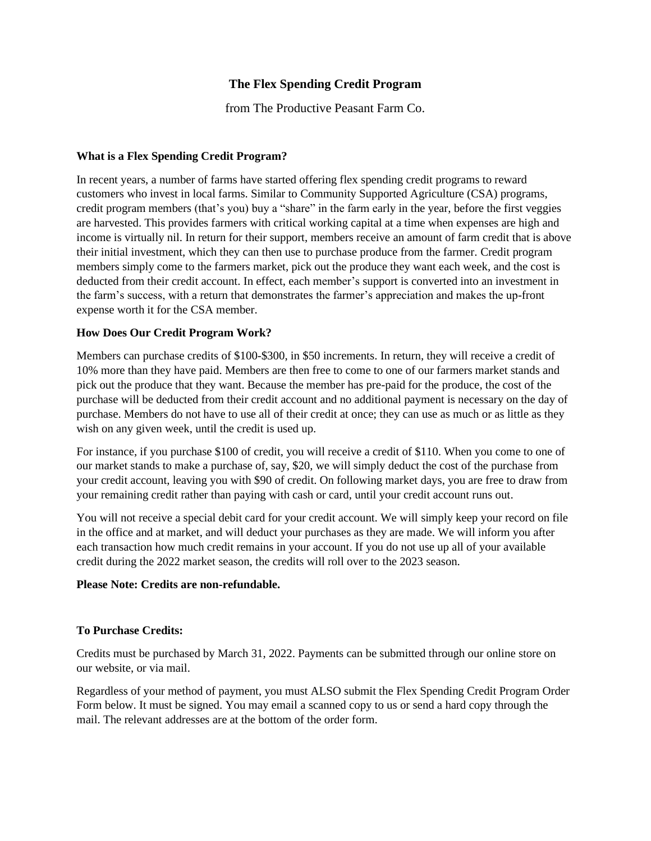## **The Flex Spending Credit Program**

from The Productive Peasant Farm Co.

#### **What is a Flex Spending Credit Program?**

In recent years, a number of farms have started offering flex spending credit programs to reward customers who invest in local farms. Similar to Community Supported Agriculture (CSA) programs, credit program members (that's you) buy a "share" in the farm early in the year, before the first veggies are harvested. This provides farmers with critical working capital at a time when expenses are high and income is virtually nil. In return for their support, members receive an amount of farm credit that is above their initial investment, which they can then use to purchase produce from the farmer. Credit program members simply come to the farmers market, pick out the produce they want each week, and the cost is deducted from their credit account. In effect, each member's support is converted into an investment in the farm's success, with a return that demonstrates the farmer's appreciation and makes the up-front expense worth it for the CSA member.

### **How Does Our Credit Program Work?**

Members can purchase credits of \$100-\$300, in \$50 increments. In return, they will receive a credit of 10% more than they have paid. Members are then free to come to one of our farmers market stands and pick out the produce that they want. Because the member has pre-paid for the produce, the cost of the purchase will be deducted from their credit account and no additional payment is necessary on the day of purchase. Members do not have to use all of their credit at once; they can use as much or as little as they wish on any given week, until the credit is used up.

For instance, if you purchase \$100 of credit, you will receive a credit of \$110. When you come to one of our market stands to make a purchase of, say, \$20, we will simply deduct the cost of the purchase from your credit account, leaving you with \$90 of credit. On following market days, you are free to draw from your remaining credit rather than paying with cash or card, until your credit account runs out.

You will not receive a special debit card for your credit account. We will simply keep your record on file in the office and at market, and will deduct your purchases as they are made. We will inform you after each transaction how much credit remains in your account. If you do not use up all of your available credit during the 2022 market season, the credits will roll over to the 2023 season.

#### **Please Note: Credits are non-refundable.**

#### **To Purchase Credits:**

Credits must be purchased by March 31, 2022. Payments can be submitted through our online store on our website, or via mail.

Regardless of your method of payment, you must ALSO submit the Flex Spending Credit Program Order Form below. It must be signed. You may email a scanned copy to us or send a hard copy through the mail. The relevant addresses are at the bottom of the order form.